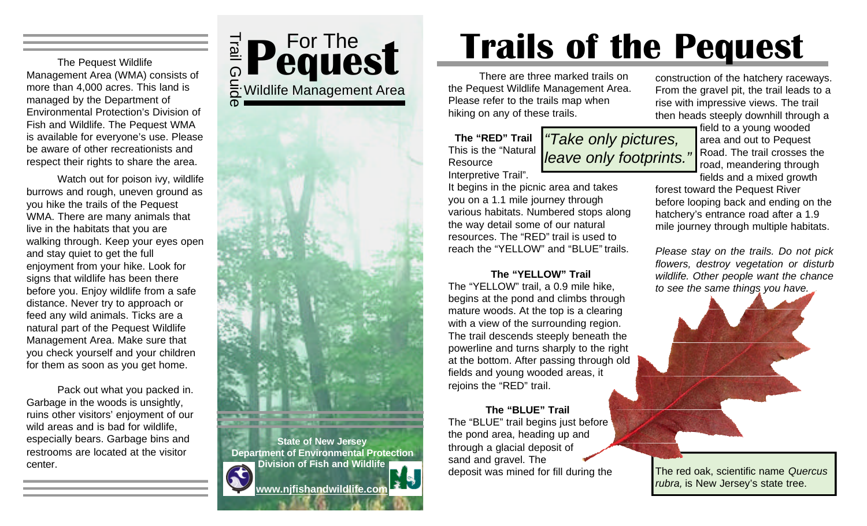The Pequest Wildlife Management Area (WMA) consists of more than 4,000 acres. This land is managed by the Department of Environmental Protection's Division of Fish and Wildlife. The Pequest WMA is available for everyone's use. Please be aware of other recreationists and respect their rights to share the area.

Watch out for poison ivy, wildlife burrows and rough, uneven ground as you hike the trails of the Pequest WMA. There are many animals that live in the habitats that you are walking through. Keep your eyes open and stay quiet to get the full enjoyment from your hike. Look for signs that wildlife has been there before you. Enjoy wildlife from a safe distance. Never try to approach or feed any wild animals. Ticks are a natural part of the Pequest Wildlife Management Area. Make sure that you check yourself and your children for them as soon as you get home.

Pack out what you packed in. Garbage in the woods is unsightly, ruins other visitors' enjoyment of our wild areas and is bad for wildlife, especially bears. Garbage bins and restrooms are located at the visitor center.



ወ

**State of New Jersey Department of Environmental Protection Division of Fish and Wildlife**  $\mathbf{x}$ **www.njfishandwildlife.com**

# **Trails of the Pequest**

*"Take only pictures,* 

There are three marked trails on the Pequest Wildlife Management Area. Please refer to the trails map when hiking on any of these trails.

**The "RED" Trail** This is the "Natural **Resource** Interpretive Trail". *leave only footprints."*

It begins in the picnic area and takes you on a 1.1 mile journey through various habitats. Numbered stops along the way detail some of our natural resources. The "RED" trail is used to reach the "YELLOW" and "BLUE" trails.

#### **The "YELLOW" Trail**

The "YELLOW" trail, a 0.9 mile hike, begins at the pond and climbs through mature woods. At the top is a clearing with a view of the surrounding region. The trail descends steeply beneath the powerline and turns sharply to the right at the bottom. After passing through old fields and young wooded areas, it rejoins the "RED" trail.

#### **The "BLUE" Trail**

The "BLUE" trail begins just before the pond area, heading up and through a glacial deposit of sand and gravel. The deposit was mined for fill during the The red oak, scientific name *Quercus*

construction of the hatchery raceways. From the gravel pit, the trail leads to a rise with impressive views. The trail then heads steeply downhill through a

field to a young wooded area and out to Pequest Road. The trail crosses the road, meandering through

fields and a mixed growth forest toward the Pequest River before looping back and ending on the hatchery's entrance road after a 1.9

mile journey through multiple habitats.

*Please stay on the trails. Do not pick flowers, destroy vegetation or disturb wildlife. Other people want the chance to see the same things you have.*



*rubra,* is New Jersey's state tree.